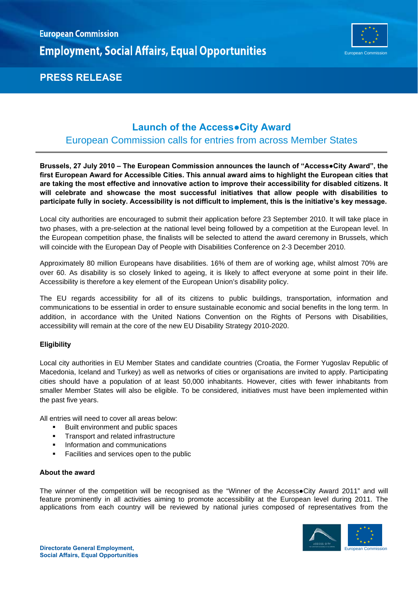

# **PRESS RELEASE**

# **Launch of the Access●City Award**

### European Commission calls for entries from across Member States

**Brussels, 27 July 2010 – The European Commission announces the launch of "Access●City Award", the first European Award for Accessible Cities. This annual award aims to highlight the European cities that are taking the most effective and innovative action to improve their accessibility for disabled citizens. It will celebrate and showcase the most successful initiatives that allow people with disabilities to participate fully in society. Accessibility is not difficult to implement, this is the initiative's key message.** 

Local city authorities are encouraged to submit their application before 23 September 2010. It will take place in two phases, with a pre-selection at the national level being followed by a competition at the European level. In the European competition phase, the finalists will be selected to attend the award ceremony in Brussels, which will coincide with the European Day of People with Disabilities Conference on 2-3 December 2010.

Approximately 80 million Europeans have disabilities. 16% of them are of working age, whilst almost 70% are over 60. As disability is so closely linked to ageing, it is likely to affect everyone at some point in their life. Accessibility is therefore a key element of the European Union's disability policy.

The EU regards accessibility for all of its citizens to public buildings, transportation, information and communications to be essential in order to ensure sustainable economic and social benefits in the long term. In addition, in accordance with the United Nations Convention on the Rights of Persons with Disabilities, accessibility will remain at the core of the new EU Disability Strategy 2010-2020.

### **Eligibility**

Local city authorities in EU Member States and candidate countries (Croatia, the Former Yugoslav Republic of Macedonia, Iceland and Turkey) as well as networks of cities or organisations are invited to apply. Participating cities should have a population of at least 50,000 inhabitants. However, cities with fewer inhabitants from smaller Member States will also be eligible. To be considered, initiatives must have been implemented within the past five years.

All entries will need to cover all areas below:

- Built environment and public spaces
- **Transport and related infrastructure**
- **Information and communications**
- Facilities and services open to the public

### **About the award**

The winner of the competition will be recognised as the "Winner of the Access**●**City Award 2011" and will feature prominently in all activities aiming to promote accessibility at the European level during 2011. The applications from each country will be reviewed by national juries composed of representatives from the